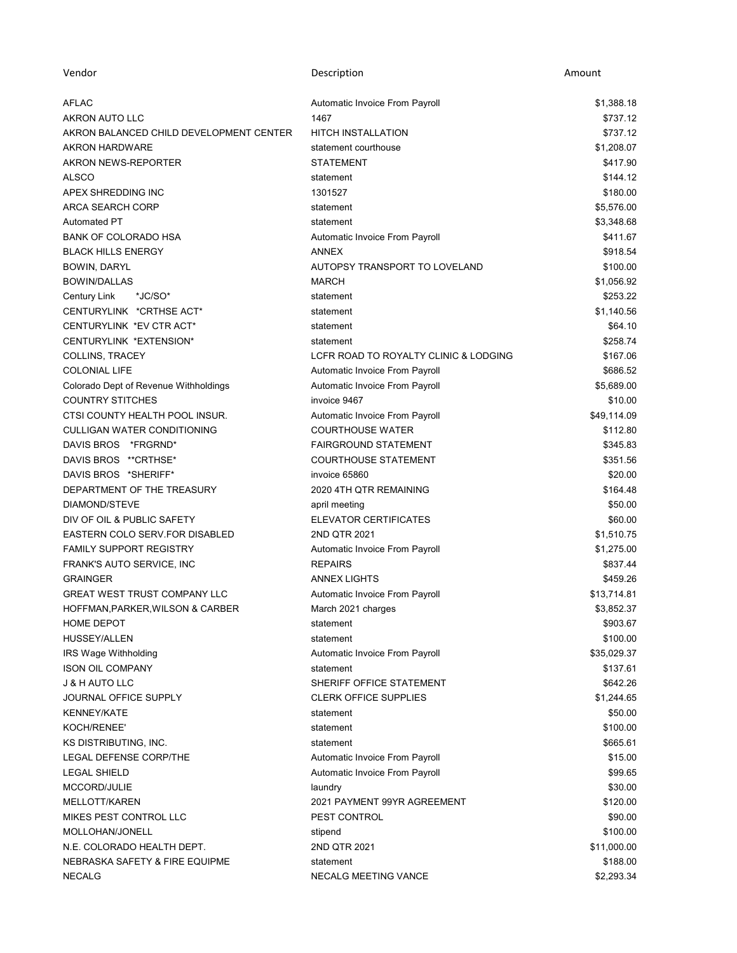| Vendor                                  | Description                           | Amount      |
|-----------------------------------------|---------------------------------------|-------------|
| <b>AFLAC</b>                            | Automatic Invoice From Payroll        | \$1,388.18  |
| AKRON AUTO LLC                          | 1467                                  | \$737.12    |
| AKRON BALANCED CHILD DEVELOPMENT CENTER | <b>HITCH INSTALLATION</b>             | \$737.12    |
| <b>AKRON HARDWARE</b>                   | statement courthouse                  | \$1,208.07  |
| AKRON NEWS-REPORTER                     | <b>STATEMENT</b>                      | \$417.90    |
| <b>ALSCO</b>                            | statement                             | \$144.12    |
| APEX SHREDDING INC                      | 1301527                               | \$180.00    |
| <b>ARCA SEARCH CORP</b>                 | statement                             | \$5,576.00  |
| <b>Automated PT</b>                     | statement                             | \$3,348.68  |
| BANK OF COLORADO HSA                    | Automatic Invoice From Payroll        | \$411.67    |
| <b>BLACK HILLS ENERGY</b>               | <b>ANNEX</b>                          | \$918.54    |
| BOWIN, DARYL                            | AUTOPSY TRANSPORT TO LOVELAND         | \$100.00    |
| <b>BOWIN/DALLAS</b>                     | <b>MARCH</b>                          | \$1,056.92  |
| *JC/SO*<br>Century Link                 | statement                             | \$253.22    |
| CENTURYLINK *CRTHSE ACT*                | statement                             | \$1,140.56  |
| CENTURYLINK *EV CTR ACT*                | statement                             | \$64.10     |
| CENTURYLINK *EXTENSION*                 | statement                             | \$258.74    |
| COLLINS, TRACEY                         | LCFR ROAD TO ROYALTY CLINIC & LODGING | \$167.06    |
| <b>COLONIAL LIFE</b>                    | Automatic Invoice From Payroll        | \$686.52    |
| Colorado Dept of Revenue Withholdings   | Automatic Invoice From Payroll        | \$5,689.00  |
| <b>COUNTRY STITCHES</b>                 | invoice 9467                          | \$10.00     |
| CTSI COUNTY HEALTH POOL INSUR.          | Automatic Invoice From Payroll        | \$49,114.09 |
| <b>CULLIGAN WATER CONDITIONING</b>      | <b>COURTHOUSE WATER</b>               | \$112.80    |
| DAVIS BROS *FRGRND*                     | <b>FAIRGROUND STATEMENT</b>           | \$345.83    |
| DAVIS BROS ** CRTHSE*                   | <b>COURTHOUSE STATEMENT</b>           | \$351.56    |
| DAVIS BROS *SHERIFF*                    | invoice 65860                         | \$20.00     |
| DEPARTMENT OF THE TREASURY              | 2020 4TH QTR REMAINING                | \$164.48    |
| DIAMOND/STEVE                           | april meeting                         | \$50.00     |
| DIV OF OIL & PUBLIC SAFETY              | ELEVATOR CERTIFICATES                 | \$60.00     |
| EASTERN COLO SERV.FOR DISABLED          | 2ND QTR 2021                          | \$1,510.75  |
| <b>FAMILY SUPPORT REGISTRY</b>          | Automatic Invoice From Payroll        | \$1,275.00  |
| FRANK'S AUTO SERVICE, INC               | <b>REPAIRS</b>                        | \$837.44    |
| <b>GRAINGER</b>                         | <b>ANNEX LIGHTS</b>                   | \$459.26    |
| <b>GREAT WEST TRUST COMPANY LLC</b>     | Automatic Invoice From Payroll        | \$13,714.81 |
| HOFFMAN, PARKER, WILSON & CARBER        | March 2021 charges                    | \$3,852.37  |
| HOME DEPOT                              | statement                             | \$903.67    |
| <b>HUSSEY/ALLEN</b>                     | statement                             | \$100.00    |
| IRS Wage Withholding                    | Automatic Invoice From Payroll        | \$35,029.37 |
| <b>ISON OIL COMPANY</b>                 | statement                             | \$137.61    |
| <b>J &amp; H AUTO LLC</b>               | SHERIFF OFFICE STATEMENT              | \$642.26    |
| <b>JOURNAL OFFICE SUPPLY</b>            | <b>CLERK OFFICE SUPPLIES</b>          | \$1,244.65  |
| <b>KENNEY/KATE</b>                      | statement                             | \$50.00     |
| KOCH/RENEE'                             | statement                             | \$100.00    |
| KS DISTRIBUTING, INC.                   | statement                             | \$665.61    |
| <b>LEGAL DEFENSE CORP/THE</b>           | Automatic Invoice From Payroll        | \$15.00     |
| <b>LEGAL SHIELD</b>                     | Automatic Invoice From Payroll        | \$99.65     |
| MCCORD/JULIE                            | laundry                               | \$30.00     |
| MELLOTT/KAREN                           | 2021 PAYMENT 99YR AGREEMENT           | \$120.00    |
| MIKES PEST CONTROL LLC                  | PEST CONTROL                          | \$90.00     |
| MOLLOHAN/JONELL                         | stipend                               | \$100.00    |
| N.E. COLORADO HEALTH DEPT.              | 2ND QTR 2021                          | \$11,000.00 |
| NEBRASKA SAFETY & FIRE EQUIPME          | statement                             | \$188.00    |
| <b>NECALG</b>                           | NECALG MEETING VANCE                  | \$2,293.34  |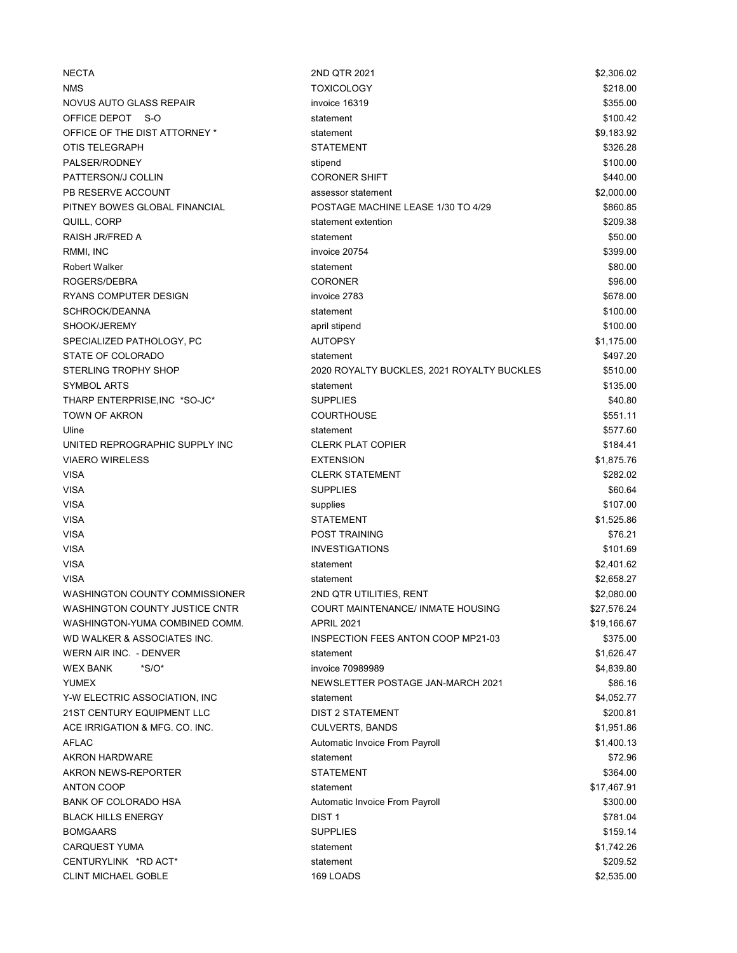| <b>NECTA</b>                   | 2ND QTR 2021                               | \$2,306.02  |
|--------------------------------|--------------------------------------------|-------------|
| <b>NMS</b>                     | <b>TOXICOLOGY</b>                          | \$218.00    |
| NOVUS AUTO GLASS REPAIR        | invoice 16319                              | \$355.00    |
| OFFICE DEPOT<br>- S-O          | statement                                  | \$100.42    |
| OFFICE OF THE DIST ATTORNEY *  | statement                                  | \$9,183.92  |
| OTIS TELEGRAPH                 | STATEMENT                                  | \$326.28    |
| PALSER/RODNEY                  | stipend                                    | \$100.00    |
| PATTERSON/J COLLIN             | <b>CORONER SHIFT</b>                       | \$440.00    |
| PB RESERVE ACCOUNT             | assessor statement                         | \$2,000.00  |
| PITNEY BOWES GLOBAL FINANCIAL  | POSTAGE MACHINE LEASE 1/30 TO 4/29         | \$860.85    |
| QUILL, CORP                    | statement extention                        | \$209.38    |
| RAISH JR/FRED A                | statement                                  | \$50.00     |
| RMMI, INC                      | invoice 20754                              | \$399.00    |
| <b>Robert Walker</b>           | statement                                  | \$80.00     |
| ROGERS/DEBRA                   | <b>CORONER</b>                             | \$96.00     |
| <b>RYANS COMPUTER DESIGN</b>   | invoice 2783                               | \$678.00    |
| SCHROCK/DEANNA                 | statement                                  | \$100.00    |
| SHOOK/JEREMY                   | april stipend                              | \$100.00    |
| SPECIALIZED PATHOLOGY, PC      | <b>AUTOPSY</b>                             | \$1,175.00  |
| STATE OF COLORADO              | statement                                  | \$497.20    |
| <b>STERLING TROPHY SHOP</b>    | 2020 ROYALTY BUCKLES, 2021 ROYALTY BUCKLES | \$510.00    |
| <b>SYMBOL ARTS</b>             | statement                                  | \$135.00    |
| THARP ENTERPRISE, INC *SO-JC*  | <b>SUPPLIES</b>                            | \$40.80     |
| TOWN OF AKRON                  | <b>COURTHOUSE</b>                          | \$551.11    |
| Uline                          | statement                                  | \$577.60    |
| UNITED REPROGRAPHIC SUPPLY INC | <b>CLERK PLAT COPIER</b>                   | \$184.41    |
| <b>VIAERO WIRELESS</b>         | <b>EXTENSION</b>                           | \$1,875.76  |
| <b>VISA</b>                    | <b>CLERK STATEMENT</b>                     | \$282.02    |
| <b>VISA</b>                    | <b>SUPPLIES</b>                            | \$60.64     |
| <b>VISA</b>                    | supplies                                   | \$107.00    |
| <b>VISA</b>                    | <b>STATEMENT</b>                           | \$1,525.86  |
| <b>VISA</b>                    | <b>POST TRAINING</b>                       | \$76.21     |
| <b>VISA</b>                    | <b>INVESTIGATIONS</b>                      | \$101.69    |
| <b>VISA</b>                    | statement                                  | \$2,401.62  |
| <b>VISA</b>                    | statement                                  | \$2,658.27  |
| WASHINGTON COUNTY COMMISSIONER | 2ND QTR UTILITIES, RENT                    | \$2,080.00  |
| WASHINGTON COUNTY JUSTICE CNTR | COURT MAINTENANCE/ INMATE HOUSING          | \$27,576.24 |
| WASHINGTON-YUMA COMBINED COMM. | <b>APRIL 2021</b>                          | \$19,166.67 |
| WD WALKER & ASSOCIATES INC.    | INSPECTION FEES ANTON COOP MP21-03         | \$375.00    |
| WERN AIR INC. - DENVER         | statement                                  | \$1,626.47  |
| <b>WEX BANK</b><br>$*S/O*$     | invoice 70989989                           | \$4,839.80  |
| <b>YUMEX</b>                   | NEWSLETTER POSTAGE JAN-MARCH 2021          | \$86.16     |
| Y-W ELECTRIC ASSOCIATION, INC  | statement                                  | \$4,052.77  |
| 21ST CENTURY EQUIPMENT LLC     | <b>DIST 2 STATEMENT</b>                    | \$200.81    |
| ACE IRRIGATION & MFG. CO. INC. | <b>CULVERTS, BANDS</b>                     | \$1,951.86  |
| <b>AFLAC</b>                   | Automatic Invoice From Payroll             | \$1,400.13  |
| <b>AKRON HARDWARE</b>          | statement                                  | \$72.96     |
| AKRON NEWS-REPORTER            | <b>STATEMENT</b>                           | \$364.00    |
| <b>ANTON COOP</b>              | statement                                  | \$17,467.91 |
| <b>BANK OF COLORADO HSA</b>    | Automatic Invoice From Payroll             | \$300.00    |
| <b>BLACK HILLS ENERGY</b>      | DIST <sub>1</sub>                          | \$781.04    |
| <b>BOMGAARS</b>                | <b>SUPPLIES</b>                            | \$159.14    |
| <b>CARQUEST YUMA</b>           | statement                                  | \$1,742.26  |
| CENTURYLINK *RD ACT*           | statement                                  | \$209.52    |
| <b>CLINT MICHAEL GOBLE</b>     | 169 LOADS                                  | \$2,535.00  |
|                                |                                            |             |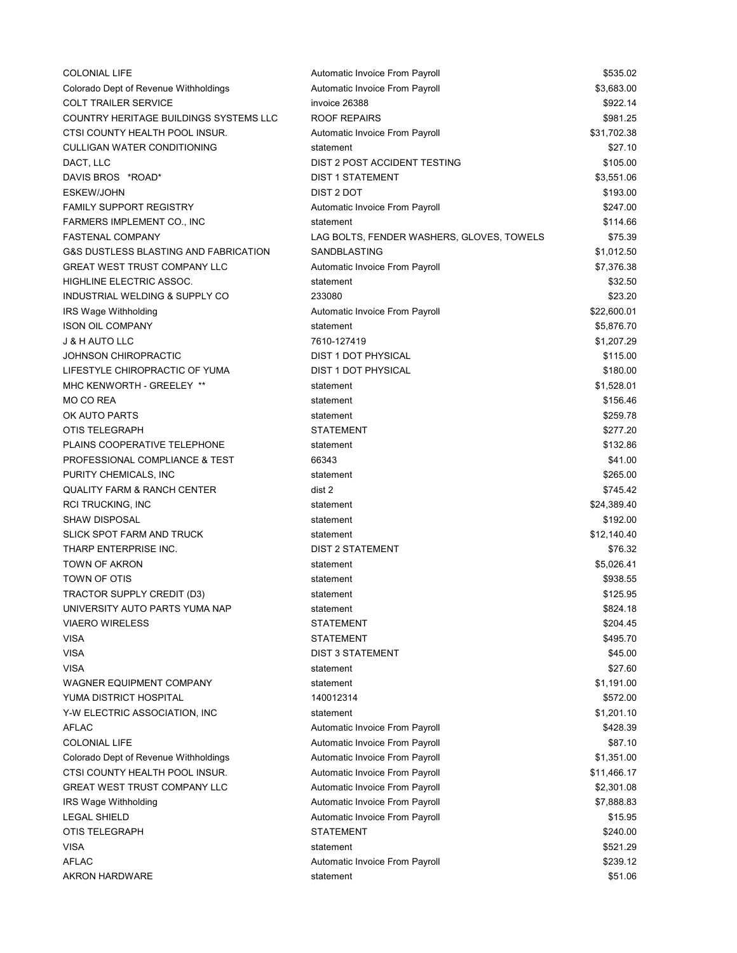| <b>COLONIAL LIFE</b>                             | Automatic Invoice From Payroll            | \$535.02    |
|--------------------------------------------------|-------------------------------------------|-------------|
| Colorado Dept of Revenue Withholdings            | Automatic Invoice From Payroll            | \$3,683.00  |
| <b>COLT TRAILER SERVICE</b>                      | invoice 26388                             | \$922.14    |
| COUNTRY HERITAGE BUILDINGS SYSTEMS LLC           | <b>ROOF REPAIRS</b>                       | \$981.25    |
| CTSI COUNTY HEALTH POOL INSUR.                   | Automatic Invoice From Payroll            | \$31,702.38 |
| <b>CULLIGAN WATER CONDITIONING</b>               | statement                                 | \$27.10     |
| DACT, LLC                                        | DIST 2 POST ACCIDENT TESTING              | \$105.00    |
| DAVIS BROS *ROAD*                                | <b>DIST 1 STATEMENT</b>                   | \$3,551.06  |
| <b>ESKEW/JOHN</b>                                | DIST 2 DOT                                | \$193.00    |
| <b>FAMILY SUPPORT REGISTRY</b>                   | Automatic Invoice From Payroll            | \$247.00    |
| FARMERS IMPLEMENT CO., INC                       | statement                                 | \$114.66    |
| <b>FASTENAL COMPANY</b>                          | LAG BOLTS, FENDER WASHERS, GLOVES, TOWELS | \$75.39     |
| <b>G&amp;S DUSTLESS BLASTING AND FABRICATION</b> | SANDBLASTING                              | \$1,012.50  |
| <b>GREAT WEST TRUST COMPANY LLC</b>              | Automatic Invoice From Payroll            | \$7,376.38  |
| HIGHLINE ELECTRIC ASSOC.                         | statement                                 | \$32.50     |
| INDUSTRIAL WELDING & SUPPLY CO                   | 233080                                    | \$23.20     |
| IRS Wage Withholding                             | Automatic Invoice From Payroll            | \$22,600.01 |
| <b>ISON OIL COMPANY</b>                          | statement                                 | \$5,876.70  |
| <b>J &amp; H AUTO LLC</b>                        | 7610-127419                               | \$1,207.29  |
| JOHNSON CHIROPRACTIC                             | <b>DIST 1 DOT PHYSICAL</b>                | \$115.00    |
| LIFESTYLE CHIROPRACTIC OF YUMA                   | <b>DIST 1 DOT PHYSICAL</b>                | \$180.00    |
| MHC KENWORTH - GREELEY **                        | statement                                 | \$1,528.01  |
| MO CO REA                                        | statement                                 | \$156.46    |
| OK AUTO PARTS                                    | statement                                 | \$259.78    |
| OTIS TELEGRAPH                                   | <b>STATEMENT</b>                          | \$277.20    |
| PLAINS COOPERATIVE TELEPHONE                     | statement                                 | \$132.86    |
| PROFESSIONAL COMPLIANCE & TEST                   | 66343                                     | \$41.00     |
| PURITY CHEMICALS, INC                            | statement                                 | \$265.00    |
| <b>QUALITY FARM &amp; RANCH CENTER</b>           | dist 2                                    | \$745.42    |
| <b>RCI TRUCKING, INC</b>                         | statement                                 | \$24,389.40 |
| <b>SHAW DISPOSAL</b>                             | statement                                 | \$192.00    |
| <b>SLICK SPOT FARM AND TRUCK</b>                 | statement                                 | \$12,140.40 |
| THARP ENTERPRISE INC.                            | <b>DIST 2 STATEMENT</b>                   | \$76.32     |
| <b>TOWN OF AKRON</b>                             | statement                                 | \$5,026.41  |
| TOWN OF OTIS                                     | statement                                 | \$938.55    |
| TRACTOR SUPPLY CREDIT (D3)                       | statement                                 | \$125.95    |
| UNIVERSITY AUTO PARTS YUMA NAP                   | statement                                 | \$824.18    |
| <b>VIAERO WIRELESS</b>                           | STATEMENT                                 | \$204.45    |
| <b>VISA</b>                                      | STATEMENT                                 | \$495.70    |
| <b>VISA</b>                                      | <b>DIST 3 STATEMENT</b>                   | \$45.00     |
| <b>VISA</b>                                      | statement                                 | \$27.60     |
| WAGNER EQUIPMENT COMPANY                         | statement                                 | \$1,191.00  |
| YUMA DISTRICT HOSPITAL                           | 140012314                                 | \$572.00    |
| Y-W ELECTRIC ASSOCIATION, INC                    | statement                                 | \$1,201.10  |
| <b>AFLAC</b>                                     | Automatic Invoice From Payroll            | \$428.39    |
| <b>COLONIAL LIFE</b>                             | Automatic Invoice From Payroll            | \$87.10     |
| Colorado Dept of Revenue Withholdings            | Automatic Invoice From Payroll            | \$1,351.00  |
| CTSI COUNTY HEALTH POOL INSUR.                   | Automatic Invoice From Payroll            | \$11,466.17 |
| <b>GREAT WEST TRUST COMPANY LLC</b>              | Automatic Invoice From Payroll            | \$2,301.08  |
| IRS Wage Withholding                             | Automatic Invoice From Payroll            | \$7,888.83  |
| <b>LEGAL SHIELD</b>                              | Automatic Invoice From Payroll            | \$15.95     |
| OTIS TELEGRAPH                                   | <b>STATEMENT</b>                          | \$240.00    |
| <b>VISA</b>                                      | statement                                 | \$521.29    |
| AFLAC                                            | Automatic Invoice From Payroll            | \$239.12    |
| <b>AKRON HARDWARE</b>                            | statement                                 | \$51.06     |
|                                                  |                                           |             |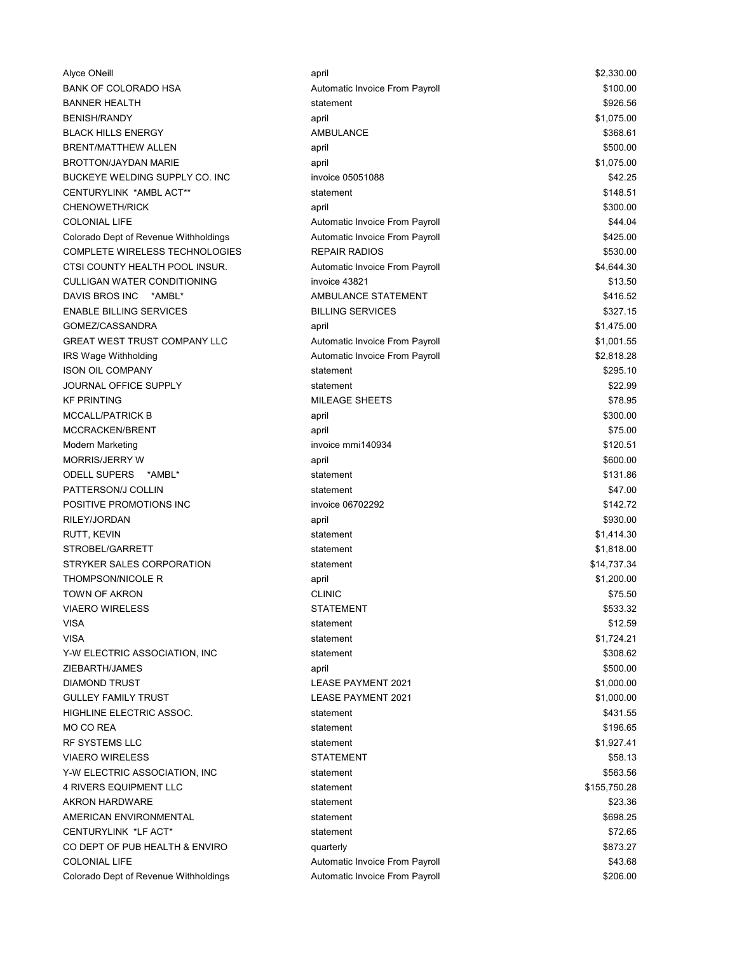| Alyce ONeill                          | april                          | \$2,330.00   |
|---------------------------------------|--------------------------------|--------------|
| <b>BANK OF COLORADO HSA</b>           | Automatic Invoice From Payroll | \$100.00     |
| <b>BANNER HEALTH</b>                  | statement                      | \$926.56     |
| <b>BENISH/RANDY</b>                   | april                          | \$1,075.00   |
| <b>BLACK HILLS ENERGY</b>             | AMBULANCE                      | \$368.61     |
| <b>BRENT/MATTHEW ALLEN</b>            | april                          | \$500.00     |
| <b>BROTTON/JAYDAN MARIE</b>           | april                          | \$1,075.00   |
| BUCKEYE WELDING SUPPLY CO. INC        | invoice 05051088               | \$42.25      |
| CENTURYLINK *AMBL ACT**               | statement                      | \$148.51     |
| <b>CHENOWETH/RICK</b>                 | april                          | \$300.00     |
| <b>COLONIAL LIFE</b>                  | Automatic Invoice From Payroll | \$44.04      |
| Colorado Dept of Revenue Withholdings | Automatic Invoice From Payroll | \$425.00     |
| <b>COMPLETE WIRELESS TECHNOLOGIES</b> | <b>REPAIR RADIOS</b>           | \$530.00     |
| CTSI COUNTY HEALTH POOL INSUR.        | Automatic Invoice From Payroll | \$4,644.30   |
| <b>CULLIGAN WATER CONDITIONING</b>    | invoice 43821                  | \$13.50      |
| DAVIS BROS INC<br>*AMBL*              | AMBULANCE STATEMENT            | \$416.52     |
| <b>ENABLE BILLING SERVICES</b>        | <b>BILLING SERVICES</b>        | \$327.15     |
| GOMEZ/CASSANDRA                       | april                          | \$1,475.00   |
| <b>GREAT WEST TRUST COMPANY LLC</b>   | Automatic Invoice From Payroll | \$1,001.55   |
| IRS Wage Withholding                  | Automatic Invoice From Payroll | \$2,818.28   |
| <b>ISON OIL COMPANY</b>               | statement                      | \$295.10     |
| JOURNAL OFFICE SUPPLY                 | statement                      | \$22.99      |
| <b>KF PRINTING</b>                    | <b>MILEAGE SHEETS</b>          | \$78.95      |
| <b>MCCALL/PATRICK B</b>               | april                          | \$300.00     |
| MCCRACKEN/BRENT                       | april                          | \$75.00      |
| Modern Marketing                      | invoice mmi140934              | \$120.51     |
| <b>MORRIS/JERRY W</b>                 | april                          | \$600.00     |
| <b>ODELL SUPERS</b><br>*AMBL*         | statement                      | \$131.86     |
| PATTERSON/J COLLIN                    | statement                      | \$47.00      |
| POSITIVE PROMOTIONS INC               | invoice 06702292               | \$142.72     |
| RILEY/JORDAN                          | april                          | \$930.00     |
| RUTT, KEVIN                           | statement                      | \$1,414.30   |
| STROBEL/GARRETT                       | statement                      | \$1,818.00   |
| STRYKER SALES CORPORATION             | statement                      | \$14,737.34  |
| <b>THOMPSON/NICOLE R</b>              | april                          | \$1,200.00   |
| <b>TOWN OF AKRON</b>                  | <b>CLINIC</b>                  | \$75.50      |
| <b>VIAERO WIRELESS</b>                | <b>STATEMENT</b>               | \$533.32     |
| <b>VISA</b>                           | statement                      | \$12.59      |
| <b>VISA</b>                           | statement                      | \$1,724.21   |
| Y-W ELECTRIC ASSOCIATION, INC         | statement                      | \$308.62     |
| ZIEBARTH/JAMES                        | april                          | \$500.00     |
| <b>DIAMOND TRUST</b>                  | <b>LEASE PAYMENT 2021</b>      | \$1,000.00   |
| <b>GULLEY FAMILY TRUST</b>            | <b>LEASE PAYMENT 2021</b>      | \$1,000.00   |
| HIGHLINE ELECTRIC ASSOC.              | statement                      | \$431.55     |
| MO CO REA                             | statement                      | \$196.65     |
| <b>RF SYSTEMS LLC</b>                 | statement                      | \$1,927.41   |
| <b>VIAERO WIRELESS</b>                | <b>STATEMENT</b>               | \$58.13      |
| Y-W ELECTRIC ASSOCIATION, INC.        | statement                      | \$563.56     |
| <b>4 RIVERS EQUIPMENT LLC</b>         | statement                      | \$155,750.28 |
| <b>AKRON HARDWARE</b>                 | statement                      | \$23.36      |
| AMERICAN ENVIRONMENTAL                | statement                      | \$698.25     |
| CENTURYLINK *LF ACT*                  | statement                      | \$72.65      |
| CO DEPT OF PUB HEALTH & ENVIRO        | quarterly                      | \$873.27     |
| <b>COLONIAL LIFE</b>                  | Automatic Invoice From Payroll | \$43.68      |
| Colorado Dept of Revenue Withholdings | Automatic Invoice From Payroll | \$206.00     |